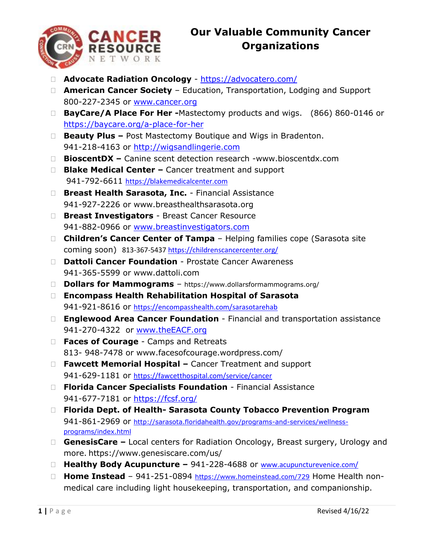

## **Our Valuable Community Cancer Organizations**

- **Advocate Radiation Oncology** <https://advocatero.com/>
- **American Cancer Society** Education, Transportation, Lodging and Support 800-227-2345 or [www.cancer.org](http://www.cancer.org/)
- □ **BayCare/A Place For Her -**Mastectomy products and wigs. (866) 860-0146 or [https://baycare.org/a-place-for-her](https://baycare.org/services/homecare/a-place-for-her)
- □ **Beauty Plus –** Post Mastectomy Boutique and Wigs in Bradenton. 941-218-4163 or [http://wigsandlingerie.com](http://wigsandlingerie.com/)
- **BioscentDX –** Canine scent detection research -www.bioscentdx.com
- **Blake Medical Center –** Cancer treatment and support 941-792-6611 [https://blakemedicalcenter.com](https://blakemedicalcenter.com/)
- **Breast Health Sarasota, Inc.** Financial Assistance 941-927-2226 or www.breasthealthsarasota.org
- **Breast Investigators** Breast Cancer Resource 941-882-0966 or [www.breastinvestigators.com](http://www.breastinvestigators.com/)
- **Children's Cancer Center of Tampa** Helping families cope (Sarasota site coming soon) 813-367-543[7 https://childrenscancercenter.org/](https://childrenscancercenter.org/)
- **Dattoli Cancer Foundation** Prostate Cancer Awareness 941-365-5599 or www.dattoli.com
- **Dollars for Mammograms** https://www.dollarsformammograms.org/
- **Encompass Health Rehabilitation Hospital of Sarasota** 941-921-8616 or <https://encompasshealth.com/sarasotarehab>
- **Englewood Area Cancer Foundation** Financial and transportation assistance 941-270-4322 or [www.theEACF.org](http://www.theeacf.org/)
- **Faces of Courage** Camps and Retreats 813- 948-7478 or www.facesofcourage.wordpress.com/
- **Fawcett Memorial Hospital –** Cancer Treatment and support 941-629-1181 or <https://fawcetthospital.com/service/cancer>
- **Florida Cancer Specialists Foundation** Financial Assistance 941-677-7181 or<https://fcsf.org/>
- **Florida Dept. of Health- Sarasota County Tobacco Prevention Program** 941-861-2969 or [http://sarasota.floridahealth.gov/programs-and-services/wellness](http://sarasota.floridahealth.gov/programs-and-services/wellness-programs/index.html)[programs/index.html](http://sarasota.floridahealth.gov/programs-and-services/wellness-programs/index.html)
- □ GenesisCare Local centers for Radiation Oncology, Breast surgery, Urology and more. https://www.genesiscare.com/us/
- **Healthy Body Acupuncture –** 941-228-4688 or [www.acupuncturevenice.com/](http://www.acupuncturevenice.com/)
- □ **Home Instead** 941-251-0894 <https://www.homeinstead.com/729> Home Health nonmedical care including light housekeeping, transportation, and companionship.